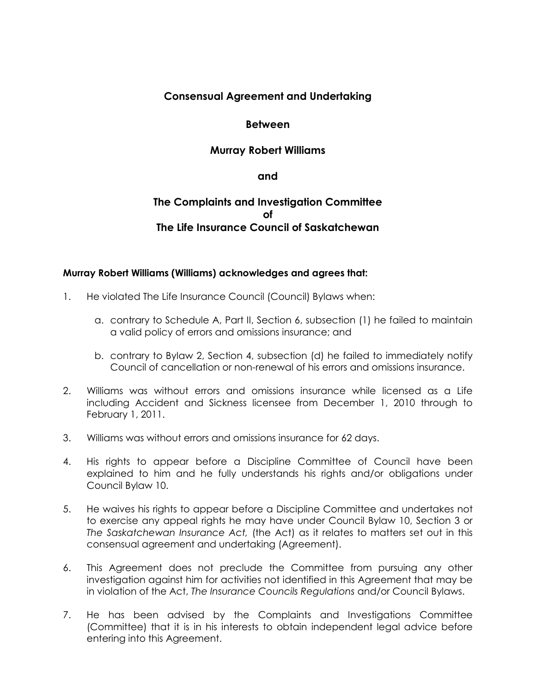## **Consensual Agreement and Undertaking**

#### **Between**

### **Murray Robert Williams**

#### **and**

# **The Complaints and Investigation Committee of The Life Insurance Council of Saskatchewan**

#### **Murray Robert Williams (Williams) acknowledges and agrees that:**

- 1. He violated The Life Insurance Council (Council) Bylaws when:
	- a. contrary to Schedule A, Part II, Section 6, subsection (1) he failed to maintain a valid policy of errors and omissions insurance; and
	- b. contrary to Bylaw 2, Section 4, subsection (d) he failed to immediately notify Council of cancellation or non-renewal of his errors and omissions insurance.
- 2. Williams was without errors and omissions insurance while licensed as a Life including Accident and Sickness licensee from December 1, 2010 through to February 1, 2011.
- 3. Williams was without errors and omissions insurance for 62 days.
- 4. His rights to appear before a Discipline Committee of Council have been explained to him and he fully understands his rights and/or obligations under Council Bylaw 10.
- 5. He waives his rights to appear before a Discipline Committee and undertakes not to exercise any appeal rights he may have under Council Bylaw 10, Section 3 or *The Saskatchewan Insurance Act,* (the Act) as it relates to matters set out in this consensual agreement and undertaking (Agreement).
- 6. This Agreement does not preclude the Committee from pursuing any other investigation against him for activities not identified in this Agreement that may be in violation of the Act, *The Insurance Councils Regulations* and/or Council Bylaws.
- 7. He has been advised by the Complaints and Investigations Committee (Committee) that it is in his interests to obtain independent legal advice before entering into this Agreement.